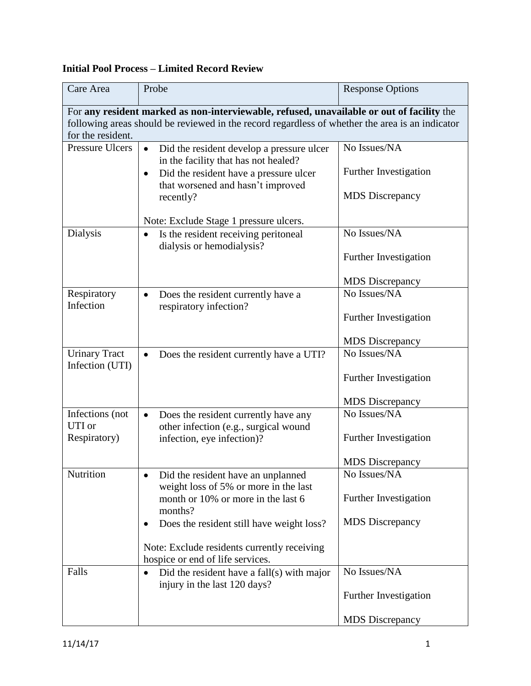## **Initial Pool Process – Limited Record Review**

| Care Area                                                                                       | Probe                                                                                          | <b>Response Options</b> |  |  |
|-------------------------------------------------------------------------------------------------|------------------------------------------------------------------------------------------------|-------------------------|--|--|
|                                                                                                 | For any resident marked as non-interviewable, refused, unavailable or out of facility the      |                         |  |  |
| following areas should be reviewed in the record regardless of whether the area is an indicator |                                                                                                |                         |  |  |
| for the resident.<br><b>Pressure Ulcers</b>                                                     |                                                                                                |                         |  |  |
|                                                                                                 | Did the resident develop a pressure ulcer<br>$\bullet$<br>in the facility that has not healed? | No Issues/NA            |  |  |
|                                                                                                 | Did the resident have a pressure ulcer<br>$\bullet$                                            | Further Investigation   |  |  |
|                                                                                                 | that worsened and hasn't improved                                                              |                         |  |  |
|                                                                                                 | recently?                                                                                      | <b>MDS</b> Discrepancy  |  |  |
|                                                                                                 | Note: Exclude Stage 1 pressure ulcers.                                                         |                         |  |  |
| Dialysis                                                                                        | Is the resident receiving peritoneal<br>$\bullet$                                              | No Issues/NA            |  |  |
|                                                                                                 | dialysis or hemodialysis?                                                                      |                         |  |  |
|                                                                                                 |                                                                                                | Further Investigation   |  |  |
|                                                                                                 |                                                                                                | <b>MDS</b> Discrepancy  |  |  |
| Respiratory                                                                                     | Does the resident currently have a<br>$\bullet$                                                | No Issues/NA            |  |  |
| Infection                                                                                       | respiratory infection?                                                                         |                         |  |  |
|                                                                                                 |                                                                                                | Further Investigation   |  |  |
|                                                                                                 |                                                                                                | <b>MDS</b> Discrepancy  |  |  |
| <b>Urinary Tract</b>                                                                            | Does the resident currently have a UTI?<br>$\bullet$                                           | No Issues/NA            |  |  |
| Infection (UTI)                                                                                 |                                                                                                | Further Investigation   |  |  |
|                                                                                                 |                                                                                                |                         |  |  |
|                                                                                                 |                                                                                                | <b>MDS</b> Discrepancy  |  |  |
| Infections (not                                                                                 | Does the resident currently have any<br>$\bullet$                                              | No Issues/NA            |  |  |
| UTI or<br>Respiratory)                                                                          | other infection (e.g., surgical wound                                                          | Further Investigation   |  |  |
|                                                                                                 | infection, eye infection)?                                                                     |                         |  |  |
|                                                                                                 |                                                                                                | <b>MDS</b> Discrepancy  |  |  |
| Nutrition                                                                                       | Did the resident have an unplanned                                                             | No Issues/NA            |  |  |
|                                                                                                 | weight loss of 5% or more in the last<br>month or 10% or more in the last 6                    | Further Investigation   |  |  |
|                                                                                                 | months?                                                                                        |                         |  |  |
|                                                                                                 | Does the resident still have weight loss?                                                      | <b>MDS</b> Discrepancy  |  |  |
|                                                                                                 |                                                                                                |                         |  |  |
|                                                                                                 | Note: Exclude residents currently receiving<br>hospice or end of life services.                |                         |  |  |
| Falls                                                                                           | Did the resident have a fall(s) with major                                                     | No Issues/NA            |  |  |
|                                                                                                 | injury in the last 120 days?                                                                   |                         |  |  |
|                                                                                                 |                                                                                                | Further Investigation   |  |  |
|                                                                                                 |                                                                                                | <b>MDS</b> Discrepancy  |  |  |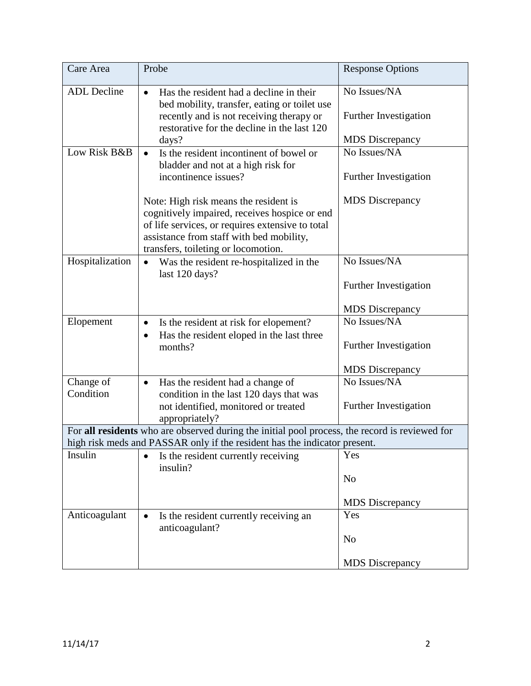| Care Area                                                                                      | Probe                                                                                                                                                                                                                         | <b>Response Options</b>               |  |  |
|------------------------------------------------------------------------------------------------|-------------------------------------------------------------------------------------------------------------------------------------------------------------------------------------------------------------------------------|---------------------------------------|--|--|
| <b>ADL</b> Decline                                                                             | Has the resident had a decline in their<br>$\bullet$<br>bed mobility, transfer, eating or toilet use<br>recently and is not receiving therapy or<br>restorative for the decline in the last 120                               | No Issues/NA<br>Further Investigation |  |  |
|                                                                                                | days?                                                                                                                                                                                                                         | <b>MDS</b> Discrepancy                |  |  |
| Low Risk B&B                                                                                   | Is the resident incontinent of bowel or<br>$\bullet$<br>bladder and not at a high risk for<br>incontinence issues?                                                                                                            | No Issues/NA<br>Further Investigation |  |  |
|                                                                                                | Note: High risk means the resident is<br>cognitively impaired, receives hospice or end<br>of life services, or requires extensive to total<br>assistance from staff with bed mobility,<br>transfers, toileting or locomotion. | <b>MDS</b> Discrepancy                |  |  |
| Hospitalization                                                                                | Was the resident re-hospitalized in the<br>$\bullet$<br>last 120 days?                                                                                                                                                        | No Issues/NA<br>Further Investigation |  |  |
|                                                                                                |                                                                                                                                                                                                                               | <b>MDS</b> Discrepancy                |  |  |
| Elopement                                                                                      | Is the resident at risk for elopement?<br>$\bullet$<br>Has the resident eloped in the last three<br>$\bullet$<br>months?                                                                                                      | No Issues/NA<br>Further Investigation |  |  |
|                                                                                                |                                                                                                                                                                                                                               | <b>MDS</b> Discrepancy                |  |  |
| Change of<br>Condition                                                                         | Has the resident had a change of<br>$\bullet$<br>condition in the last 120 days that was<br>not identified, monitored or treated<br>appropriately?                                                                            | No Issues/NA<br>Further Investigation |  |  |
| For all residents who are observed during the initial pool process, the record is reviewed for |                                                                                                                                                                                                                               |                                       |  |  |
|                                                                                                | high risk meds and PASSAR only if the resident has the indicator present.                                                                                                                                                     |                                       |  |  |
| Insulin                                                                                        | Is the resident currently receiving<br>insulin?                                                                                                                                                                               | Yes<br>N <sub>o</sub>                 |  |  |
|                                                                                                |                                                                                                                                                                                                                               | <b>MDS</b> Discrepancy                |  |  |
| Anticoagulant                                                                                  | Is the resident currently receiving an<br>$\bullet$<br>anticoagulant?                                                                                                                                                         | Yes<br>N <sub>o</sub>                 |  |  |
|                                                                                                |                                                                                                                                                                                                                               | <b>MDS</b> Discrepancy                |  |  |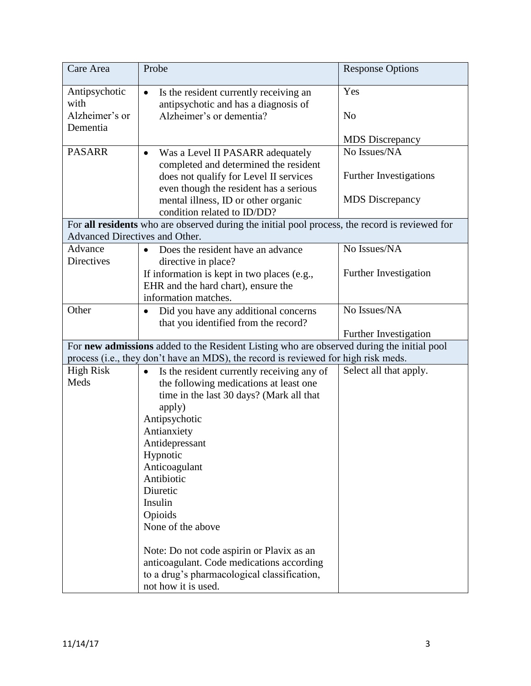| Care Area                      | Probe                                                                                          | <b>Response Options</b>       |
|--------------------------------|------------------------------------------------------------------------------------------------|-------------------------------|
| Antipsychotic<br>with          | Is the resident currently receiving an<br>$\bullet$<br>antipsychotic and has a diagnosis of    | Yes                           |
| Alzheimer's or<br>Dementia     | Alzheimer's or dementia?                                                                       | N <sub>o</sub>                |
|                                |                                                                                                | <b>MDS</b> Discrepancy        |
| <b>PASARR</b>                  | Was a Level II PASARR adequately<br>$\bullet$<br>completed and determined the resident         | No Issues/NA                  |
|                                | does not qualify for Level II services<br>even though the resident has a serious               | <b>Further Investigations</b> |
|                                | mental illness, ID or other organic<br>condition related to ID/DD?                             | <b>MDS</b> Discrepancy        |
|                                | For all residents who are observed during the initial pool process, the record is reviewed for |                               |
| Advanced Directives and Other. |                                                                                                |                               |
| Advance                        | Does the resident have an advance<br>$\bullet$                                                 | No Issues/NA                  |
| <b>Directives</b>              | directive in place?                                                                            |                               |
|                                | If information is kept in two places (e.g.,                                                    | Further Investigation         |
|                                | EHR and the hard chart), ensure the<br>information matches.                                    |                               |
| Other                          | Did you have any additional concerns                                                           | No Issues/NA                  |
|                                | $\bullet$<br>that you identified from the record?                                              |                               |
|                                |                                                                                                | Further Investigation         |
|                                | For new admissions added to the Resident Listing who are observed during the initial pool      |                               |
|                                | process (i.e., they don't have an MDS), the record is reviewed for high risk meds.             |                               |
| <b>High Risk</b>               | Is the resident currently receiving any of<br>$\bullet$                                        | Select all that apply.        |
| Meds                           | the following medications at least one                                                         |                               |
|                                | time in the last 30 days? (Mark all that                                                       |                               |
|                                | apply)                                                                                         |                               |
|                                | Antipsychotic                                                                                  |                               |
|                                | Antianxiety<br>Antidepressant                                                                  |                               |
|                                | Hypnotic                                                                                       |                               |
|                                | Anticoagulant                                                                                  |                               |
|                                | Antibiotic                                                                                     |                               |
|                                | Diuretic                                                                                       |                               |
|                                | Insulin                                                                                        |                               |
|                                | Opioids                                                                                        |                               |
|                                | None of the above                                                                              |                               |
|                                | Note: Do not code aspirin or Plavix as an                                                      |                               |
|                                | anticoagulant. Code medications according                                                      |                               |
|                                | to a drug's pharmacological classification,                                                    |                               |
|                                | not how it is used.                                                                            |                               |